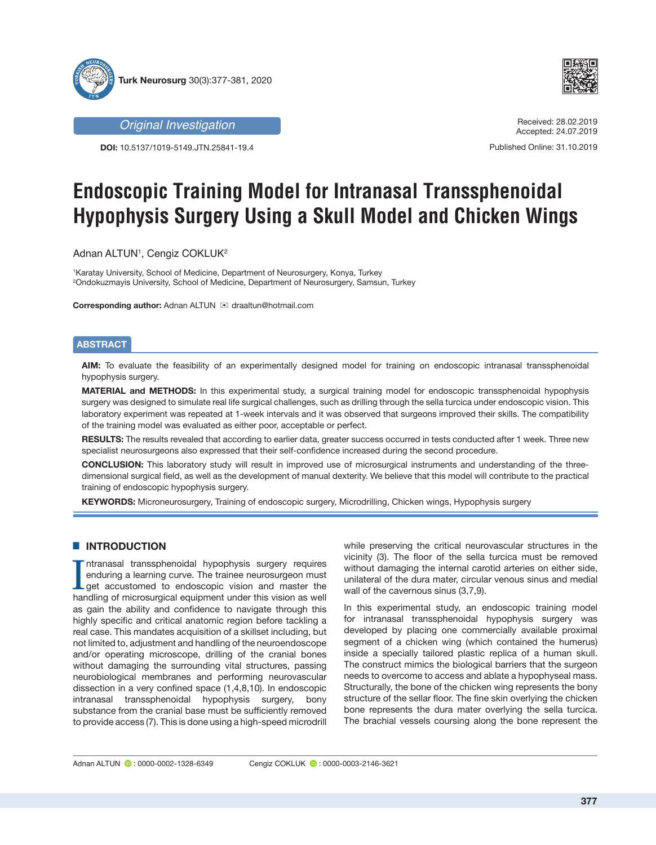



*Original Investigation*

**DOI:** 10.5137/1019-5149.JTN.25841-19.4

#### Received: 28.02.2019 Accepted: 24.07.2019

Published Online: 31.10.2019

# **Endoscopic Training Model for Intranasal Transsphenoidal Hypophysis Surgery Using a Skull Model and Chicken Wings**

Adnan ALTUN1, Cengiz COKLUK<del>2</del>

1 Karatay University, School of Medicine, Department of Neurosurgery, Konya, Turkey 2 Ondokuzmayis University, School of Medicine, Department of Neurosurgery, Samsun, Turkey

**Corresponding author: Adnan ALTUN <br>
<sub>⊠</sub> draaltun@hotmail.com** 

#### **ABSTRACT**

**AIM:** To evaluate the feasibility of an experimentally designed model for training on endoscopic intranasal transsphenoidal hypophysis surgery.

**MATERIAL and METHODS:** In this experimental study, a surgical training model for endoscopic transsphenoidal hypophysis surgery was designed to simulate real life surgical challenges, such as drilling through the sella turcica under endoscopic vision. This laboratory experiment was repeated at 1-week intervals and it was observed that surgeons improved their skills. The compatibility of the training model was evaluated as either poor, acceptable or perfect.

**RESULTS:** The results revealed that according to earlier data, greater success occurred in tests conducted after 1 week. Three new specialist neurosurgeons also expressed that their self-confidence increased during the second procedure.

**CONCLUSION:** This laboratory study will result in improved use of microsurgical instruments and understanding of the threedimensional surgical field, as well as the development of manual dexterity. We believe that this model will contribute to the practical training of endoscopic hypophysis surgery.

**KEYWORDS:** Microneurosurgery, Training of endoscopic surgery, Microdrilling, Chicken wings, Hypophysis surgery

## **E INTRODUCTION**

Intranasal transsphenoidal hypophysis surgery requires<br>enduring a learning curve. The trainee neurosurgeon must<br>get accustomed to endoscopic vision and master the<br>handling of microsurgical equipment under this vision as we ntranasal transsphenoidal hypophysis surgery requires enduring a learning curve. The trainee neurosurgeon must get accustomed to endoscopic vision and master the as gain the ability and confidence to navigate through this highly specific and critical anatomic region before tackling a real case. This mandates acquisition of a skillset including, but not limited to, adjustment and handling of the neuroendoscope and/or operating microscope, drilling of the cranial bones without damaging the surrounding vital structures, passing neurobiological membranes and performing neurovascular dissection in a very confined space (1,4,8,10). In endoscopic intranasal transsphenoidal hypophysis surgery, bony substance from the cranial base must be sufficiently removed to provide access (7). This is done using a high-speed microdrill

while preserving the critical neurovascular structures in the vicinity (3). The floor of the sella turcica must be removed without damaging the internal carotid arteries on either side, unilateral of the dura mater, circular venous sinus and medial wall of the cavernous sinus (3,7,9).

In this experimental study, an endoscopic training model for intranasal transsphenoidal hypophysis surgery was developed by placing one commercially available proximal segment of a chicken wing (which contained the humerus) inside a specially tailored plastic replica of a human skull. The construct mimics the biological barriers that the surgeon needs to overcome to access and ablate a hypophyseal mass. Structurally, the bone of the chicken wing represents the bony structure of the sellar floor. The fine skin overlying the chicken bone represents the dura mater overlying the sella turcica. The brachial vessels coursing along the bone represent the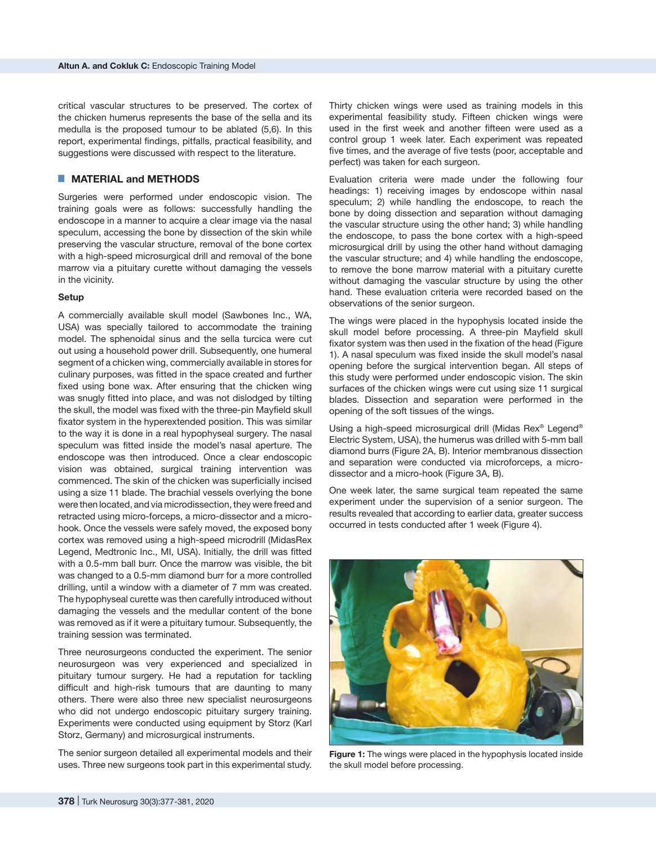critical vascular structures to be preserved. The cortex of the chicken humerus represents the base of the sella and its medulla is the proposed tumour to be ablated (5,6). In this report, experimental findings, pitfalls, practical feasibility, and suggestions were discussed with respect to the literature.

## █ **MATERIAL and METHODS**

Surgeries were performed under endoscopic vision. The training goals were as follows: successfully handling the endoscope in a manner to acquire a clear image via the nasal speculum, accessing the bone by dissection of the skin while preserving the vascular structure, removal of the bone cortex with a high-speed microsurgical drill and removal of the bone marrow via a pituitary curette without damaging the vessels in the vicinity.

#### **Setup**

A commercially available skull model (Sawbones Inc., WA, USA) was specially tailored to accommodate the training model. The sphenoidal sinus and the sella turcica were cut out using a household power drill. Subsequently, one humeral segment of a chicken wing, commercially available in stores for culinary purposes, was fitted in the space created and further fixed using bone wax. After ensuring that the chicken wing was snugly fitted into place, and was not dislodged by tilting the skull, the model was fixed with the three-pin Mayfield skull fixator system in the hyperextended position. This was similar to the way it is done in a real hypophyseal surgery. The nasal speculum was fitted inside the model's nasal aperture. The endoscope was then introduced. Once a clear endoscopic vision was obtained, surgical training intervention was commenced. The skin of the chicken was superficially incised using a size 11 blade. The brachial vessels overlying the bone were then located, and via microdissection, they were freed and retracted using micro-forceps, a micro-dissector and a microhook. Once the vessels were safely moved, the exposed bony cortex was removed using a high-speed microdrill (MidasRex Legend, Medtronic Inc., MI, USA). Initially, the drill was fitted with a 0.5-mm ball burr. Once the marrow was visible, the bit was changed to a 0.5-mm diamond burr for a more controlled drilling, until a window with a diameter of 7 mm was created. The hypophyseal curette was then carefully introduced without damaging the vessels and the medullar content of the bone was removed as if it were a pituitary tumour. Subsequently, the training session was terminated.

Three neurosurgeons conducted the experiment. The senior neurosurgeon was very experienced and specialized in pituitary tumour surgery. He had a reputation for tackling difficult and high-risk tumours that are daunting to many others. There were also three new specialist neurosurgeons who did not undergo endoscopic pituitary surgery training. Experiments were conducted using equipment by Storz (Karl Storz, Germany) and microsurgical instruments.

The senior surgeon detailed all experimental models and their uses. Three new surgeons took part in this experimental study.

Thirty chicken wings were used as training models in this experimental feasibility study. Fifteen chicken wings were used in the first week and another fifteen were used as a control group 1 week later. Each experiment was repeated five times, and the average of five tests (poor, acceptable and perfect) was taken for each surgeon.

Evaluation criteria were made under the following four headings: 1) receiving images by endoscope within nasal speculum; 2) while handling the endoscope, to reach the bone by doing dissection and separation without damaging the vascular structure using the other hand; 3) while handling the endoscope, to pass the bone cortex with a high-speed microsurgical drill by using the other hand without damaging the vascular structure; and 4) while handling the endoscope, to remove the bone marrow material with a pituitary curette without damaging the vascular structure by using the other hand. These evaluation criteria were recorded based on the observations of the senior surgeon.

The wings were placed in the hypophysis located inside the skull model before processing. A three-pin Mayfield skull fixator system was then used in the fixation of the head (Figure 1). A nasal speculum was fixed inside the skull model's nasal opening before the surgical intervention began. All steps of this study were performed under endoscopic vision. The skin surfaces of the chicken wings were cut using size 11 surgical blades. Dissection and separation were performed in the opening of the soft tissues of the wings.

Using a high-speed microsurgical drill (Midas Rex® Legend® Electric System, USA), the humerus was drilled with 5-mm ball diamond burrs (Figure 2A, B). Interior membranous dissection and separation were conducted via microforceps, a microdissector and a micro-hook (Figure 3A, B).

One week later, the same surgical team repeated the same experiment under the supervision of a senior surgeon. The results revealed that according to earlier data, greater success occurred in tests conducted after 1 week (Figure 4).



**Figure 1:** The wings were placed in the hypophysis located inside the skull model before processing.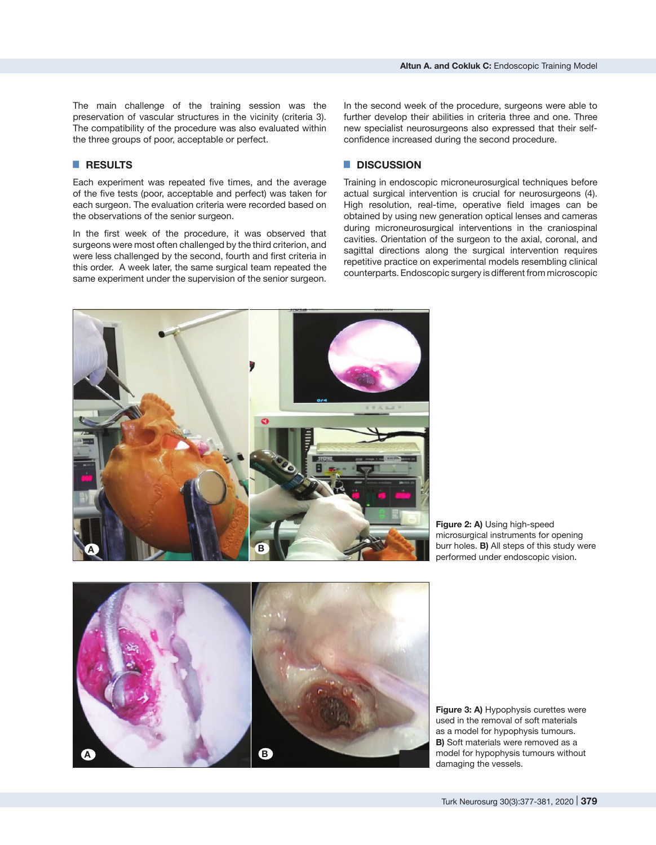The main challenge of the training session was the preservation of vascular structures in the vicinity (criteria 3). The compatibility of the procedure was also evaluated within the three groups of poor, acceptable or perfect.

## █ **RESULTS**

Each experiment was repeated five times, and the average of the five tests (poor, acceptable and perfect) was taken for each surgeon. The evaluation criteria were recorded based on the observations of the senior surgeon.

In the first week of the procedure, it was observed that surgeons were most often challenged by the third criterion, and were less challenged by the second, fourth and first criteria in this order. A week later, the same surgical team repeated the same experiment under the supervision of the senior surgeon.

In the second week of the procedure, surgeons were able to further develop their abilities in criteria three and one. Three new specialist neurosurgeons also expressed that their selfconfidence increased during the second procedure.

### █ **DISCUSSION**

Training in endoscopic microneurosurgical techniques before actual surgical intervention is crucial for neurosurgeons (4). High resolution, real-time, operative field images can be obtained by using new generation optical lenses and cameras during microneurosurgical interventions in the craniospinal cavities. Orientation of the surgeon to the axial, coronal, and sagittal directions along the surgical intervention requires repetitive practice on experimental models resembling clinical counterparts. Endoscopic surgery is different from microscopic



**Figure 2: A)** Using high-speed microsurgical instruments for opening burr holes. **B)** All steps of this study were performed under endoscopic vision.



**Figure 3: A)** Hypophysis curettes were used in the removal of soft materials as a model for hypophysis tumours. **B)** Soft materials were removed as a model for hypophysis tumours without damaging the vessels.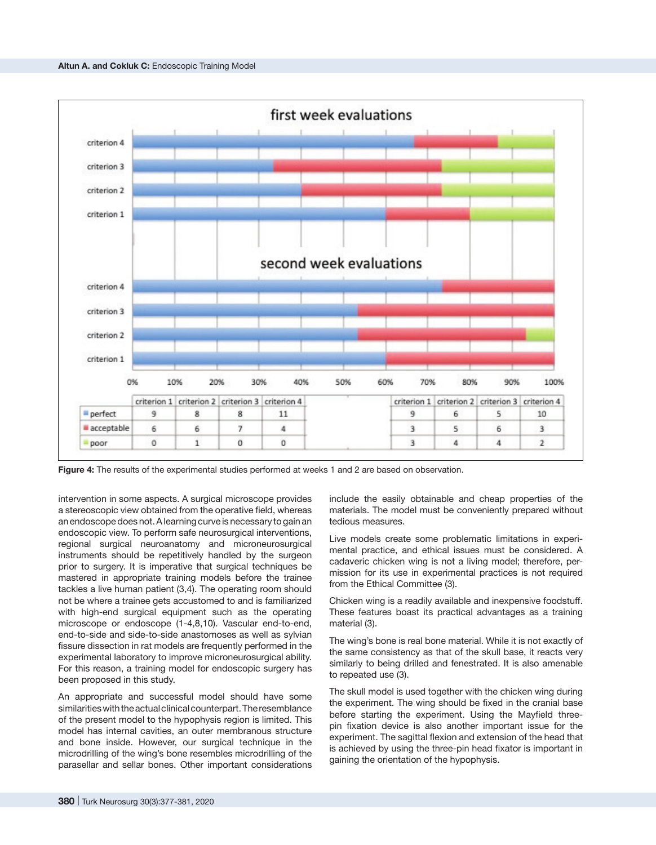

**Figure 4:** The results of the experimental studies performed at weeks 1 and 2 are based on observation.

intervention in some aspects. A surgical microscope provides a stereoscopic view obtained from the operative field, whereas an endoscope does not. A learning curve is necessary to gain an endoscopic view. To perform safe neurosurgical interventions, regional surgical neuroanatomy and microneurosurgical instruments should be repetitively handled by the surgeon prior to surgery. It is imperative that surgical techniques be mastered in appropriate training models before the trainee tackles a live human patient (3,4). The operating room should not be where a trainee gets accustomed to and is familiarized with high-end surgical equipment such as the operating microscope or endoscope (1-4,8,10). Vascular end-to-end, end-to-side and side-to-side anastomoses as well as sylvian fissure dissection in rat models are frequently performed in the experimental laboratory to improve microneurosurgical ability. For this reason, a training model for endoscopic surgery has been proposed in this study.

An appropriate and successful model should have some similarities with the actual clinical counterpart. The resemblance of the present model to the hypophysis region is limited. This model has internal cavities, an outer membranous structure and bone inside. However, our surgical technique in the microdrilling of the wing's bone resembles microdrilling of the parasellar and sellar bones. Other important considerations include the easily obtainable and cheap properties of the materials. The model must be conveniently prepared without tedious measures.

Live models create some problematic limitations in experimental practice, and ethical issues must be considered. A cadaveric chicken wing is not a living model; therefore, permission for its use in experimental practices is not required from the Ethical Committee (3).

Chicken wing is a readily available and inexpensive foodstuff. These features boast its practical advantages as a training material (3).

The wing's bone is real bone material. While it is not exactly of the same consistency as that of the skull base, it reacts very similarly to being drilled and fenestrated. It is also amenable to repeated use (3).

The skull model is used together with the chicken wing during the experiment. The wing should be fixed in the cranial base before starting the experiment. Using the Mayfield threepin fixation device is also another important issue for the experiment. The sagittal flexion and extension of the head that is achieved by using the three-pin head fixator is important in gaining the orientation of the hypophysis.